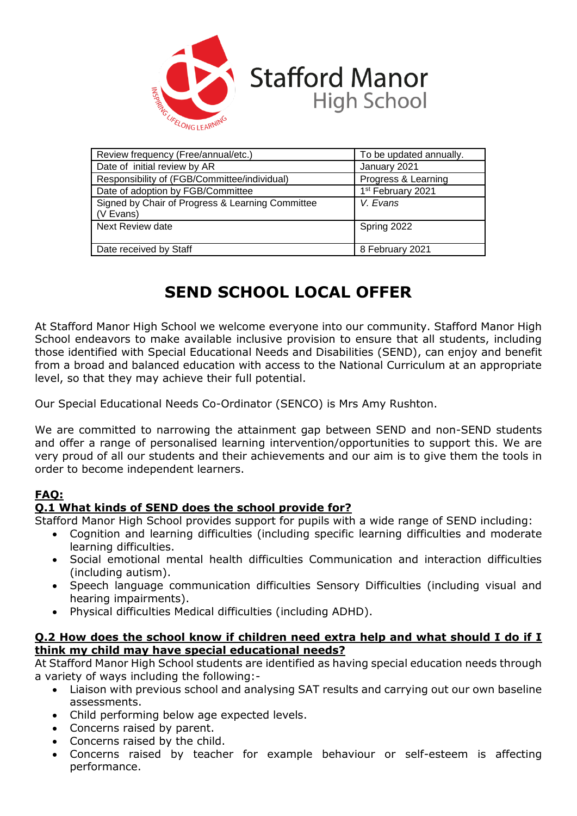

| Review frequency (Free/annual/etc.)                           | To be updated annually.       |
|---------------------------------------------------------------|-------------------------------|
| Date of initial review by AR                                  | January 2021                  |
| Responsibility of (FGB/Committee/individual)                  | Progress & Learning           |
| Date of adoption by FGB/Committee                             | 1 <sup>st</sup> February 2021 |
| Signed by Chair of Progress & Learning Committee<br>(V Evans) | V. Evans                      |
| Next Review date                                              | Spring 2022                   |
| Date received by Staff                                        | 8 February 2021               |

# **SEND SCHOOL LOCAL OFFER**

At Stafford Manor High School we welcome everyone into our community. Stafford Manor High School endeavors to make available inclusive provision to ensure that all students, including those identified with Special Educational Needs and Disabilities (SEND), can enjoy and benefit from a broad and balanced education with access to the National Curriculum at an appropriate level, so that they may achieve their full potential.

Our Special Educational Needs Co-Ordinator (SENCO) is Mrs Amy Rushton.

We are committed to narrowing the attainment gap between SEND and non-SEND students and offer a range of personalised learning intervention/opportunities to support this. We are very proud of all our students and their achievements and our aim is to give them the tools in order to become independent learners.

# **FAQ:**

# **Q.1 What kinds of SEND does the school provide for?**

Stafford Manor High School provides support for pupils with a wide range of SEND including:

- Cognition and learning difficulties (including specific learning difficulties and moderate learning difficulties.
- Social emotional mental health difficulties Communication and interaction difficulties (including autism).
- Speech language communication difficulties Sensory Difficulties (including visual and hearing impairments).
- Physical difficulties Medical difficulties (including ADHD).

### **Q.2 How does the school know if children need extra help and what should I do if I think my child may have special educational needs?**

At Stafford Manor High School students are identified as having special education needs through a variety of ways including the following:-

- Liaison with previous school and analysing SAT results and carrying out our own baseline assessments.
- Child performing below age expected levels.
- Concerns raised by parent.
- Concerns raised by the child.
- Concerns raised by teacher for example behaviour or self-esteem is affecting performance.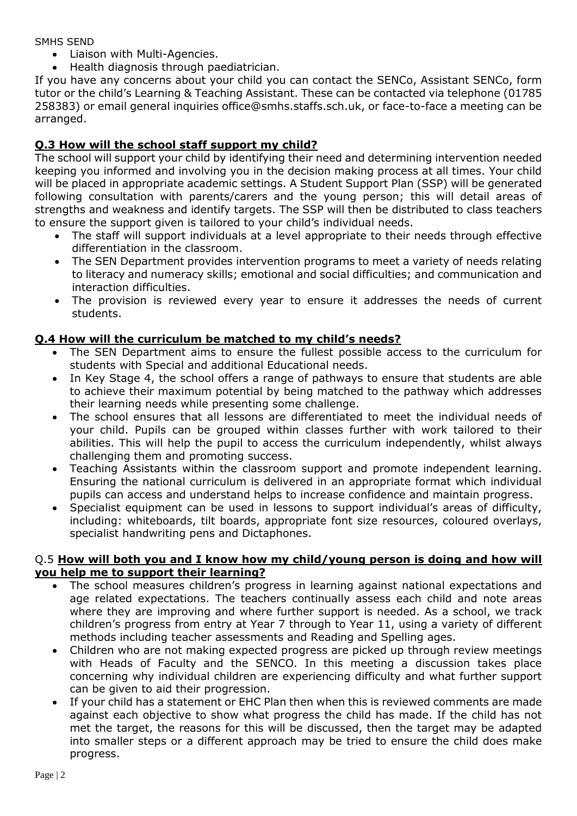SMHS SEND

- Liaison with Multi-Agencies.
- Health diagnosis through paediatrician.

If you have any concerns about your child you can contact the SENCo, Assistant SENCo, form tutor or the child's Learning & Teaching Assistant. These can be contacted via telephone (01785 258383) or email general inquiries office@smhs.staffs.sch.uk, or face-to-face a meeting can be arranged.

# **Q.3 How will the school staff support my child?**

The school will support your child by identifying their need and determining intervention needed keeping you informed and involving you in the decision making process at all times. Your child will be placed in appropriate academic settings. A Student Support Plan (SSP) will be generated following consultation with parents/carers and the young person; this will detail areas of strengths and weakness and identify targets. The SSP will then be distributed to class teachers to ensure the support given is tailored to your child's individual needs.

- The staff will support individuals at a level appropriate to their needs through effective differentiation in the classroom.
- The SEN Department provides intervention programs to meet a variety of needs relating to literacy and numeracy skills; emotional and social difficulties; and communication and interaction difficulties.
- The provision is reviewed every year to ensure it addresses the needs of current students.

# **Q.4 How will the curriculum be matched to my child's needs?**

- The SEN Department aims to ensure the fullest possible access to the curriculum for students with Special and additional Educational needs.
- In Key Stage 4, the school offers a range of pathways to ensure that students are able to achieve their maximum potential by being matched to the pathway which addresses their learning needs while presenting some challenge.
- The school ensures that all lessons are differentiated to meet the individual needs of your child. Pupils can be grouped within classes further with work tailored to their abilities. This will help the pupil to access the curriculum independently, whilst always challenging them and promoting success.
- Teaching Assistants within the classroom support and promote independent learning. Ensuring the national curriculum is delivered in an appropriate format which individual pupils can access and understand helps to increase confidence and maintain progress.
- Specialist equipment can be used in lessons to support individual's areas of difficulty, including: whiteboards, tilt boards, appropriate font size resources, coloured overlays, specialist handwriting pens and Dictaphones.

### Q.5 **How will both you and I know how my child/young person is doing and how will you help me to support their learning?**

- The school measures children's progress in learning against national expectations and age related expectations. The teachers continually assess each child and note areas where they are improving and where further support is needed. As a school, we track children's progress from entry at Year 7 through to Year 11, using a variety of different methods including teacher assessments and Reading and Spelling ages.
- Children who are not making expected progress are picked up through review meetings with Heads of Faculty and the SENCO. In this meeting a discussion takes place concerning why individual children are experiencing difficulty and what further support can be given to aid their progression.
- If your child has a statement or EHC Plan then when this is reviewed comments are made against each objective to show what progress the child has made. If the child has not met the target, the reasons for this will be discussed, then the target may be adapted into smaller steps or a different approach may be tried to ensure the child does make progress.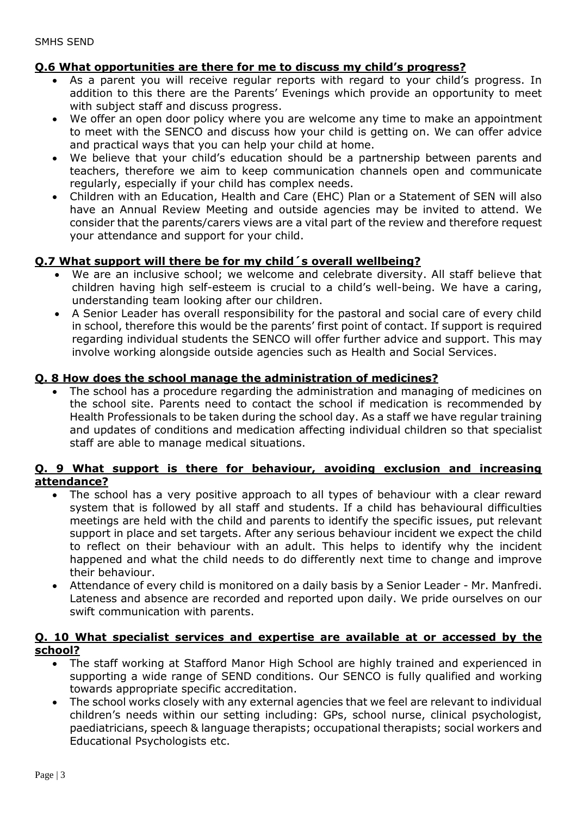# **Q.6 What opportunities are there for me to discuss my child's progress?**

- As a parent you will receive regular reports with regard to your child's progress. In addition to this there are the Parents' Evenings which provide an opportunity to meet with subject staff and discuss progress.
- We offer an open door policy where you are welcome any time to make an appointment to meet with the SENCO and discuss how your child is getting on. We can offer advice and practical ways that you can help your child at home.
- We believe that your child's education should be a partnership between parents and teachers, therefore we aim to keep communication channels open and communicate regularly, especially if your child has complex needs.
- Children with an Education, Health and Care (EHC) Plan or a Statement of SEN will also have an Annual Review Meeting and outside agencies may be invited to attend. We consider that the parents/carers views are a vital part of the review and therefore request your attendance and support for your child.

# **Q.7 What support will there be for my child´s overall wellbeing?**

- We are an inclusive school; we welcome and celebrate diversity. All staff believe that children having high self-esteem is crucial to a child's well-being. We have a caring, understanding team looking after our children.
- A Senior Leader has overall responsibility for the pastoral and social care of every child in school, therefore this would be the parents' first point of contact. If support is required regarding individual students the SENCO will offer further advice and support. This may involve working alongside outside agencies such as Health and Social Services.

# **Q. 8 How does the school manage the administration of medicines?**

 The school has a procedure regarding the administration and managing of medicines on the school site. Parents need to contact the school if medication is recommended by Health Professionals to be taken during the school day. As a staff we have regular training and updates of conditions and medication affecting individual children so that specialist staff are able to manage medical situations.

### **Q. 9 What support is there for behaviour, avoiding exclusion and increasing attendance?**

- The school has a very positive approach to all types of behaviour with a clear reward system that is followed by all staff and students. If a child has behavioural difficulties meetings are held with the child and parents to identify the specific issues, put relevant support in place and set targets. After any serious behaviour incident we expect the child to reflect on their behaviour with an adult. This helps to identify why the incident happened and what the child needs to do differently next time to change and improve their behaviour.
- Attendance of every child is monitored on a daily basis by a Senior Leader Mr. Manfredi. Lateness and absence are recorded and reported upon daily. We pride ourselves on our swift communication with parents.

### **Q. 10 What specialist services and expertise are available at or accessed by the school?**

- The staff working at Stafford Manor High School are highly trained and experienced in supporting a wide range of SEND conditions. Our SENCO is fully qualified and working towards appropriate specific accreditation.
- The school works closely with any external agencies that we feel are relevant to individual children's needs within our setting including: GPs, school nurse, clinical psychologist, paediatricians, speech & language therapists; occupational therapists; social workers and Educational Psychologists etc.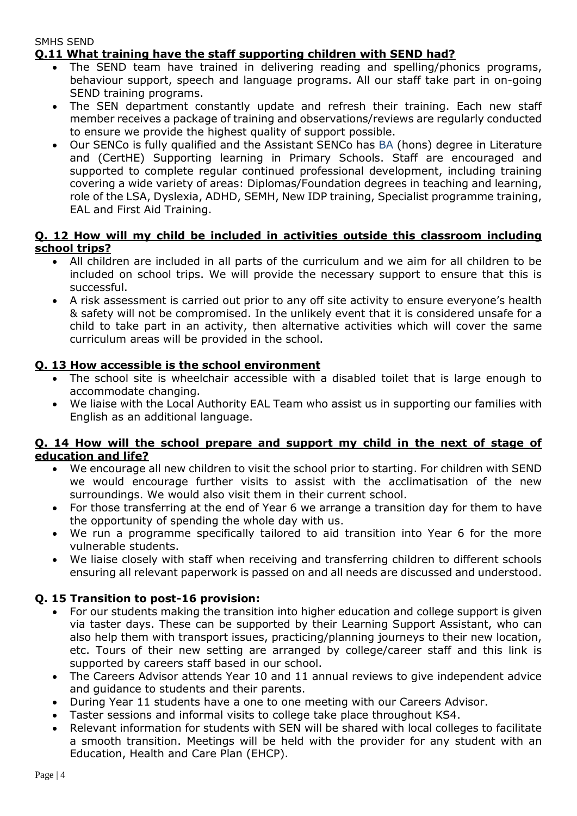#### SMHS SEND **Q.11 What training have the staff supporting children with SEND had?**

- The SEND team have trained in delivering reading and spelling/phonics programs, behaviour support, speech and language programs. All our staff take part in on-going SEND training programs.
- The SEN department constantly update and refresh their training. Each new staff member receives a package of training and observations/reviews are regularly conducted to ensure we provide the highest quality of support possible.
- Our SENCo is fully qualified and the Assistant SENCo has BA (hons) degree in Literature and (CertHE) Supporting learning in Primary Schools. Staff are encouraged and supported to complete regular continued professional development, including training covering a wide variety of areas: Diplomas/Foundation degrees in teaching and learning, role of the LSA, Dyslexia, ADHD, SEMH, New IDP training, Specialist programme training, EAL and First Aid Training.

# **Q. 12 How will my child be included in activities outside this classroom including school trips?**

- All children are included in all parts of the curriculum and we aim for all children to be included on school trips. We will provide the necessary support to ensure that this is successful.
- A risk assessment is carried out prior to any off site activity to ensure everyone's health & safety will not be compromised. In the unlikely event that it is considered unsafe for a child to take part in an activity, then alternative activities which will cover the same curriculum areas will be provided in the school.

# **Q. 13 How accessible is the school environment**

- The school site is wheelchair accessible with a disabled toilet that is large enough to accommodate changing.
- We liaise with the Local Authority EAL Team who assist us in supporting our families with English as an additional language.

# **Q. 14 How will the school prepare and support my child in the next of stage of education and life?**

- We encourage all new children to visit the school prior to starting. For children with SEND we would encourage further visits to assist with the acclimatisation of the new surroundings. We would also visit them in their current school.
- For those transferring at the end of Year 6 we arrange a transition day for them to have the opportunity of spending the whole day with us.
- We run a programme specifically tailored to aid transition into Year 6 for the more vulnerable students.
- We liaise closely with staff when receiving and transferring children to different schools ensuring all relevant paperwork is passed on and all needs are discussed and understood.

# **Q. 15 Transition to post-16 provision:**

- For our students making the transition into higher education and college support is given via taster days. These can be supported by their Learning Support Assistant, who can also help them with transport issues, practicing/planning journeys to their new location, etc. Tours of their new setting are arranged by college/career staff and this link is supported by careers staff based in our school.
- The Careers Advisor attends Year 10 and 11 annual reviews to give independent advice and guidance to students and their parents.
- During Year 11 students have a one to one meeting with our Careers Advisor.
- Taster sessions and informal visits to college take place throughout KS4.
- Relevant information for students with SEN will be shared with local colleges to facilitate a smooth transition. Meetings will be held with the provider for any student with an Education, Health and Care Plan (EHCP).